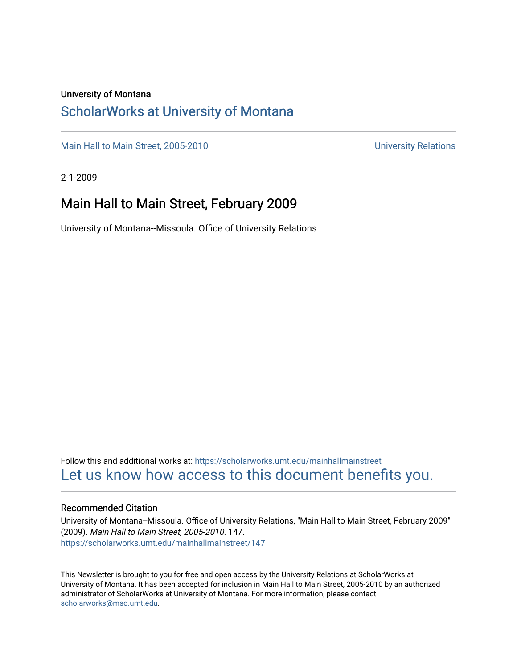### University of Montana

### [ScholarWorks at University of Montana](https://scholarworks.umt.edu/)

[Main Hall to Main Street, 2005-2010](https://scholarworks.umt.edu/mainhallmainstreet) Main Hall to Main Street, 2005-2010

2-1-2009

### Main Hall to Main Street, February 2009

University of Montana--Missoula. Office of University Relations

Follow this and additional works at: [https://scholarworks.umt.edu/mainhallmainstreet](https://scholarworks.umt.edu/mainhallmainstreet?utm_source=scholarworks.umt.edu%2Fmainhallmainstreet%2F147&utm_medium=PDF&utm_campaign=PDFCoverPages) [Let us know how access to this document benefits you.](https://goo.gl/forms/s2rGfXOLzz71qgsB2) 

#### Recommended Citation

University of Montana--Missoula. Office of University Relations, "Main Hall to Main Street, February 2009" (2009). Main Hall to Main Street, 2005-2010. 147. [https://scholarworks.umt.edu/mainhallmainstreet/147](https://scholarworks.umt.edu/mainhallmainstreet/147?utm_source=scholarworks.umt.edu%2Fmainhallmainstreet%2F147&utm_medium=PDF&utm_campaign=PDFCoverPages)

This Newsletter is brought to you for free and open access by the University Relations at ScholarWorks at University of Montana. It has been accepted for inclusion in Main Hall to Main Street, 2005-2010 by an authorized administrator of ScholarWorks at University of Montana. For more information, please contact [scholarworks@mso.umt.edu.](mailto:scholarworks@mso.umt.edu)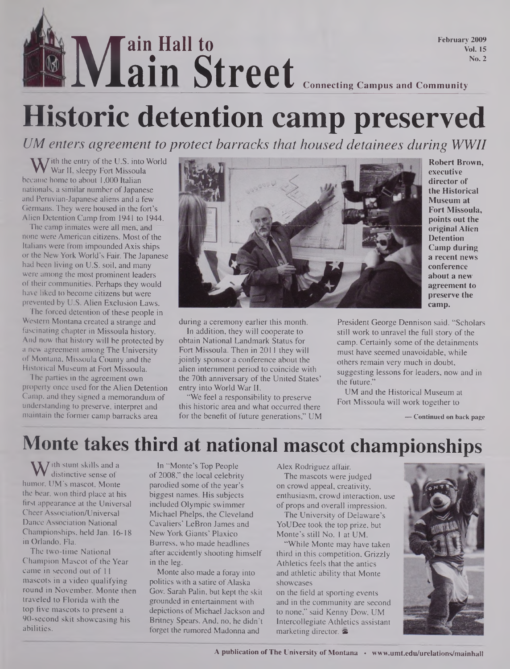## **Main Street** Connecting Campus and Community **ain Hall to ain Street February 2009 Vol. 15 No. 2**

# **Historic detention camp preserved**

*UM enters agreement to protect barracks that housed detainees during WWII*

W ith the entry of the U.S. into<br>became home to about 1,000 Italian  $\overline{X}$  *J* ith the entry of the U.S. into World War II, sleepy Fort Missoula nationals, a similar number of Japanese and Peruvian-Japanese aliens and a few Germans. They were housed in the fort's Alien Detention Camp from 1941 to 1944.

The camp inmates were all men, and none were American citizens. Most of the Italians were from impounded Axis ships or the New York World's Fair. The Japanese had been living on U.S. soil, and many were among the most prominent leaders of their communities. Perhaps they would have liked to become citizens but were prevented by U.S. Alien Exclusion Laws.

The forced detention of these people in Western Montana created a strange and fascinating chapter in Missoula history. And now that history will be protected by a new agreement among The University ol Montana, Missoula County and the Historical Museum at Fort Missoula.

The parties in the agreement own property once used for the Alien Detention Camp, and they signed a memorandum of understanding to preserve, interpret and maintain the former camp barracks area



**Robert Brown, executive director of the Historical Museum at Fort Missoula, points out the original Alien Detention Camp during a recent news conference about a new agreement to preserve the camp.**

during a ceremony earlier this month. In addition, they will cooperate to obtain National Landmark Status for Fort Missoula. Then in 2011 they will jointly sponsor a conference about the alien internment period to coincide with the 70th anniversary of the United States' entry into World War II.

"We feel a responsibility to preserve this historic area and what occurred there for the benefit of future generations," UM President George Dennison said. "Scholars still work to unravel the full story of the camp. Certainly some of the detainments must have seemed unavoidable, while others remain very much in doubt, suggesting lessons for leaders, now and in the future."

UM and the Historical Museum at Fort Missoula will work together to

**— Continued on back page**

## **Monte takes third at national mascot championships**

**W** ith stunt skills and a<br>mor. UM's mascot, Monte distinctive sense of humor, UM's mascot, Monte the bear, won third place at his first appearance at the Universal Cheer Association/Universal Dance Association National Championships, held Jan. 16-18 in Orlando, Fla.

The two-time National Champion Mascot of the Year came in second out of 11 mascots in a video qualifying round in November. Monte then traveled to Florida with the top five mascots to present a 90-second skit showcasing his abilities.

In "Monte's Top People of 2008," the local celebrity parodied some of the year's biggest names. His subjects included Olympic swimmer Michael Phelps, the Cleveland Cavaliers' LeBron James and New York Giants' Plaxico Burress, who made headlines after accidently shooting himself in the leg.

Monte also made a foray into politics with a satire of Alaska Gov. Sarah Palin, but kept the skit grounded in entertainment with depictions of Michael Jackson and Britney Spears. And, no, he didn't forget the rumored Madonna and

Alex Rodriguez affair.

The mascots were judged on crowd appeal, creativity, enthusiasm, crowd interaction, use of props and overall impression.

The University of Delaware's YoUDee took the top prize, but Monte's still No. <sup>1</sup> at UM.

"While Monte may have taken third in this competition, Grizzly Athletics feels that the antics and athletic ability that Monte showcases

on the field at sporting events and in the community are second to none," said Kenny Dow, UM Intercollegiate Athletics assistant marketing director. &

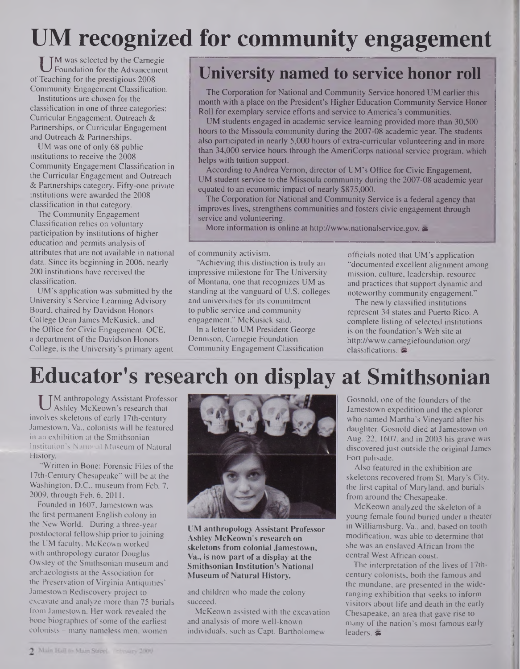## **UM recognized for community engagement**

UM was selected by the Carnegie<br>Foundation for the Advancement<br>Teaching for the prestigious 2008 M was selected by the Carnegie Foundation for the Advancement Community Engagement Classification.

Institutions are chosen for the classification in one of three categories: Curricular Engagement, Outreach & Partnerships, or Curricular Engagement and Outreach & Partnerships.

UM was one of only 68 public institutions to receive the 2008 Community Engagement Classification in the Curricular Engagement and Outreach & Partnerships category. Fifty-one private institutions were awarded the 2008 classification in that category.

The Community Engagement Classification relies on voluntary participation by institutions of higher education and permits analysis of attributes that are not available in national data. Since its beginning in 2006, nearly 200 institutions have received the classification.

UM's application was submitted by the University's Service Learning Advisory Board, chaired by Davidson Honors College Dean James McKusick, and the Office for Civic Engagement. OCE, a department of the Davidson Honors College, is the University's primary agent

## **University named to service honor roll**

The Corporation for National and Community Service honored UM earlier this month with a place on the President's Higher Education Community Service Honor Roll for exemplary service efforts and service to America's communities.

UM students engaged in academic service learning provided more than 30,500 hours to the Missoula community during the 2007-08 academic year. The students also participated in nearly 5,000 hours of extra-curricular volunteering and in more than 34,000 service hours through the AmeriCorps national service program, which helps with tuition support.

According to Andrea Vernon, director of UM's Office for Civic Engagement, UM student service to the Missoula community during the 2007-08 academic year equated to an economic impact of nearly \$875,000.

The Corporation for National and Community Service is a federal agency that improves lives, strengthens communities and fosters civic engagement through service and volunteering.

More information is online at <http://www.nationalservice.gov>.

of community activism.

"Achieving this distinction is truly an impressive milestone for The University of Montana, one that recognizes UM as standing at the vanguard of U.S. colleges and universities for its commitment to public service and community engagement," McKusick said.

In a letter to UM President George Dennison, Carnegie Foundation Community Engagement Classification officials noted that UM's application "documented excellent alignment among mission, culture, leadership, resource and practices that support dynamic and noteworthy community engagement."

The newly classified institutions represent 34 states and Puerto Rico. A complete listing of selected institutions is on the foundation's Web site at <http://www.carnegiefoundation.org/> classifications.

## **Educator's research on display at Smithsonian**

M anthropology Assistant Profes<br>Ashley McKeown's research that<br>involves skeletons of early 17th-century M anthropology Assistant Professor Ashley McKeown's research that Jamestown, Va., colonists will be featured in an exhibition at the Smithsonian Institution's National Museum of Natural History.

"Written in Bone: Forensic Files of the 17th-Century Chesapeake" will be at the Washington, D.C., museum from Feb. 7, 2009, through Feb. 6, 2011.

Founded in 1607, Jamestown was the first permanent English colony in the New World. During a three-year postdoctoral fellowship prior to joining the UM faculty, McKeown worked with anthropology curator Douglas Owsley of the Smithsonian museum and archaeologists at the Association for the Preservation of Virginia Antiquities' Jamestown Rediscovery project to excavate and analyze more than 75 burials from Jamestown. Her work revealed the bone biographies of some of the earliest colonists - many nameless men, women



**UM anthropology Assistant Professor Ashley McKeown's research on skeletons from colonial Jamestown, Va., is now part of a display at the Smithsonian Institution's National Museum of Natural History.**

and children who made the colony succeed.

McKeown assisted with the excavation and analysis of more well-known individuals, such as Capt. Bartholomew

Gosnold, one of the founders of the Jamestown expedition and the explorer who named Martha's Vineyard after his daughter. Gosnold died at Jamestown on Aug. 22, 1607, and in 2003 his grave was discovered just outside the original James Fort palisade.

Also featured in the exhibition are skeletons recovered from St. Mary's City, the first capital of Maryland, and burials from around the Chesapeake.

McKeown analyzed the skeleton of a young female found buried under a theater in Williamsburg, Va., and, based on tooth modification, was able to determine that she was an enslaved African from the central West African coast.

The interpretation of the lives of 17thcentury colonists, both the famous and the mundane, are presented in the wideranging exhibition that seeks to inform visitors about life and death in the early Chesapeake, an area that gave rise to many of the nation's most famous early leaders. &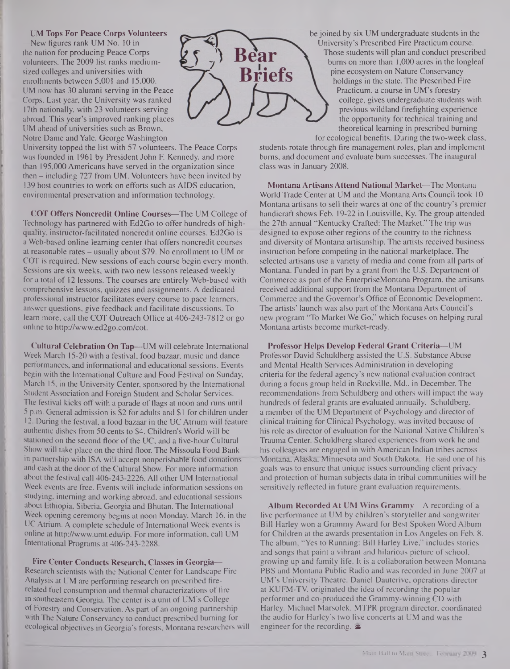#### **UM Tops For Peace Corps Volunteers**

—New figures rank UM No. 10 in the nation for producing Peace Corps volunteers. The 2009 list ranks mediumsized colleges and universities with enrollments between 5,001 and 15,000. UM now has 30 alumni serving in the Peace Corps. Last year, the University was ranked 17th nationally, with 23 volunteers serving abroad. This year's improved ranking places UM ahead of universities such as Brown, Notre Dame and Yale. George Washington

University topped the list with 57 volunteers. The Peace Corps was founded in 1961 by President John F. Kennedy, and more than 195,000 Americans have served in the organization since then – including 727 from UM. Volunteers have been invited by 139 host countries to work on efforts such as AIDS education, environmental preservation and information technology.

**COT Offers Noncredit Online Courses—**The UM College of Technology has partnered with Ed2Go to offer hundreds of highquality, instructor-facilitated noncredit online courses. Ed2Go is a Web-based online learning center that offers noncredit courses at reasonable rates - usually about \$79. No enrollment to UM or COT is required. New sessions of each course begin every month. Sessions are six weeks, with two new lessons released weekly for a total of 12 lessons. The courses are entirely Web-based with comprehensive lessons, quizzes and assignments. A dedicated professional instructor facilitates every course to pace learners, answer questions, give feedback and facilitate discussions. To learn more, call the COT Outreach Office at 406-243-7812 or go online to <http://www.ed2go.com/cot>.

**Cultural Celebration On Tap—**UM will celebrate International Week March 15-20 with a festival, food bazaar, music and dance performances, and informational and educational sessions. Events begin with the International Culture and Food Festival on Sunday, March 15, in the University Center, sponsored by the International Student Association and Foreign Student and Scholar Services. The festival kicks off with a parade of flags at noon and runs until 5 p.m. General admission is \$2 for adults and \$1 for children under 12. During the festival, a food bazaar in the UC Atrium will feature authentic dishes from 50 cents to \$4. Children's World will be stationed on the second floor of the UC, and a five-hour Cultural Show will take place on the third floor. The Missoula Food Bank in partnership with ISA will accept nonperishable food donations and cash at the door of the Cultural Show. For more information about the festival call 406-243-2226. All other UM International Week events are free. Events will include information sessions on studying, interning and working abroad, and educational sessions about Ethiopia, Siberia, Georgia and Bhutan. The International Week opening ceremony begins at noon Monday, March 16, in the UC Atrium. A complete schedule of International Week events is online at <http://www.umt.edu/ip>. For more information, call UM International Programs at 406-243-2288.

**Fire Center Conducts Research, Classes in Georgia—** Research scientists with the National Center for Landscape Fire Analysis at UM are performing research on prescribed firerelated fuel consumption and thermal characterizations of fire in southeastern Georgia. The center is a unit of UM's College of Forestry and Conservation. As part of an ongoing partnership with The Nature Conservancy to conduct prescribed burning for ecological objectives in Georgia's forests, Montana researchers will



be joined by six UM undergraduate students in the University's Prescribed Fire Practicum course. Those students will plan and conduct prescribed bums on more than 1,000 acres in the longleaf pine ecosystem on Nature Conservancy holdings in the state. The Prescribed Fire Practicum, a course in UM's forestry college, gives undergraduate students with previous wildland firefighting experience the opportunity for technical training and theoretical learning in prescribed burning

for ecological benefits. During the two-week class, students rotate through fire management roles, plan and implement bums, and document and evaluate bum successes. The inaugural class was in January 2008.

**Montana Artisans Attend National Market—**The Montana World Trade Center at UM and the Montana Arts Council took 10 Montana artisans to sell their wares at one of the country's premier handicraft shows Feb. 19-22 in Louisville, Ky. The group attended the 27th annual "Kentucky Crafted: The Market." The trip was designed to expose other regions of the country to the richness and diversity of Montana artisanship. The artists received business instruction before competing in the national marketplace. The selected artisans use a variety of media and come from all parts of Montana. Funded in part by a grant from the U.S. Department of Commerce as part of the EnterpriseMontana Program, the artisans received additional support from the Montana Department of Commerce and the Governor's Office of Economic Development. The artists' launch was also part of the Montana Arts Council's new program "To Market We Go," which focuses on helping rural Montana artists become market-ready.

**Professor Helps Develop Federal Grant Criteria—UM** Professor David Schuldberg assisted the U.S. Substance Abuse and Mental Health Services Administration in developing criteria for the federal agency's new national evaluation contract during a focus group held in Rockville, Md., in December. The recommendations from Schuldberg and others will impact the way hundreds of federal grants are evaluated annually. Schuldberg, a member of the UM Department of Psychology and director of clinical training for Clinical Psychology, was invited because of his role as director of evaluation for the National Native Children's Trauma Center. Schuldberg shared experiences from work he and his colleagues are engaged in with American Indian tribes across Montana, Alaska; Minnesota and South Dakota. He said one of his goals was to ensure that unique issues surrounding client privacy and protection of human subjects data in tribal communities will be sensitively reflected in future grant evaluation requirements.

**Album Recorded At UM Wins Grammy—**A recording of a live performance at UM by children's storyteller and songwriter Bill Harley won a Grammy Award for Best Spoken Word Album for Children at the awards presentation in Los Angeles on Feb. 8. The album, "Yes to Running: Bill Harley Live," includes stories and songs that paint a vibrant and hilarious picture of school, growing up and family life. It is a collaboration between Montana PBS and Montana Public Radio and was recorded in June 2007 at UM's University Theatre. Daniel Dauterive, operations director at KUFM-TV, originated the idea of recording the popular performer and co-produced the Grammy-winning CD with Harley. Michael Marsolek, MTPR program director, coordinated the audio for Harley's two live concerts at UM and was the engineer for the recording.  $\approx$